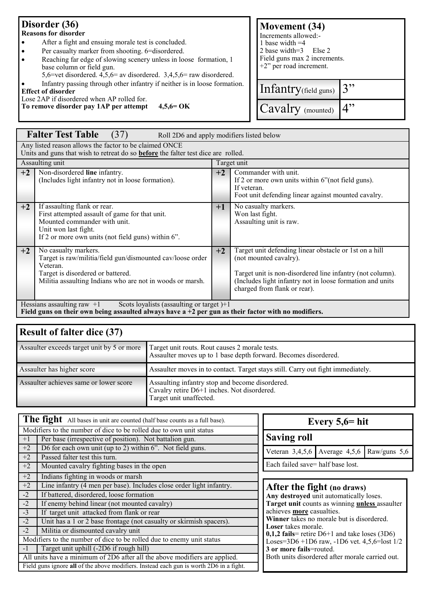## **Disorder (36) Reasons for disorder**

- After a fight and ensuing morale test is concluded.
- Per casualty marker from shooting. 6=disordered.
- Reaching far edge of slowing scenery unless in loose formation, 1 base column or field gun.
- 5,6=vet disordered. 4,5,6= av disordered. 3,4,5,6= raw disordered.
	- Infantry passing through other infantry if neither is in loose formation.

**Effect of disorder**

Lose 2AP if disordered when AP rolled for. **To remove disorder pay 1AP per attempt 4,5,6= OK**

| <b>Movement</b> (34)<br>Increments allowed:-<br>1 base width $=4$<br>2 base width=3 Else 2<br>Field guns max 2 increments.<br>$+2$ " per road increment. |            |  |  |  |  |
|----------------------------------------------------------------------------------------------------------------------------------------------------------|------------|--|--|--|--|
| Infantry(field guns)                                                                                                                                     | $\cdot$ 3" |  |  |  |  |
| Cavalry (mounted)                                                                                                                                        |            |  |  |  |  |

|                                                                                                                                                    | <b>Falter Test Table</b><br>(37)<br>Roll 2D6 and apply modifiers listed below                                                                                                                    |                                                                                                                                                          |                                                                                                                                                                                                                                            |  |  |  |
|----------------------------------------------------------------------------------------------------------------------------------------------------|--------------------------------------------------------------------------------------------------------------------------------------------------------------------------------------------------|----------------------------------------------------------------------------------------------------------------------------------------------------------|--------------------------------------------------------------------------------------------------------------------------------------------------------------------------------------------------------------------------------------------|--|--|--|
| Any listed reason allows the factor to be claimed ONCE<br>Units and guns that wish to retreat do so <b>before</b> the falter test dice are rolled. |                                                                                                                                                                                                  |                                                                                                                                                          |                                                                                                                                                                                                                                            |  |  |  |
| Assaulting unit<br>Target unit                                                                                                                     |                                                                                                                                                                                                  |                                                                                                                                                          |                                                                                                                                                                                                                                            |  |  |  |
| $+2$                                                                                                                                               | Non-disordered line infantry.<br>(Includes light infantry not in loose formation).                                                                                                               | Commander with unit.<br>$+2$<br>If 2 or more own units within 6" (not field guns).<br>If veteran.<br>Foot unit defending linear against mounted cavalry. |                                                                                                                                                                                                                                            |  |  |  |
| $+2$                                                                                                                                               | If assaulting flank or rear.<br>First attempted assault of game for that unit.<br>Mounted commander with unit.<br>Unit won last fight.<br>If 2 or more own units (not field guns) within 6".     | $+1$                                                                                                                                                     | No casualty markers.<br>Won last fight.<br>Assaulting unit is raw.                                                                                                                                                                         |  |  |  |
| $+2$                                                                                                                                               | No casualty markers.<br>Target is raw/militia/field gun/dismounted cav/loose order<br>Veteran.<br>Target is disordered or battered.<br>Militia assaulting Indians who are not in woods or marsh. | $+2$                                                                                                                                                     | Target unit defending linear obstacle or 1st on a hill<br>(not mounted cavalry).<br>Target unit is non-disordered line infantry (not column).<br>(Includes light infantry not in loose formation and units<br>charged from flank or rear). |  |  |  |
| Hessians assaulting raw $+1$<br>Scots loyalists (assaulting or target) $+1$                                                                        |                                                                                                                                                                                                  |                                                                                                                                                          |                                                                                                                                                                                                                                            |  |  |  |

**Field guns on their own being assaulted always have a +2 per gun as their factor with no modifiers.**

## **Result of falter dice (37)**

| Assaulter exceeds target unit by 5 or more | Target unit routs. Rout causes 2 morale tests.<br>Assaulter moves up to 1 base depth forward. Becomes disordered.         |
|--------------------------------------------|---------------------------------------------------------------------------------------------------------------------------|
| Assaulter has higher score                 | Assaulter moves in to contact. Target stays still. Carry out fight immediately.                                           |
| Assaulter achieves same or lower score     | Assaulting infantry stop and become disordered.<br>Cavalry retire D6+1 inches. Not disordered.<br>Target unit unaffected. |

|                                                                            | The fight All bases in unit are counted (half base counts as a full base).<br>Every $5,6=$ hit                                                 |                                                |                                                          |  |  |  |  |
|----------------------------------------------------------------------------|------------------------------------------------------------------------------------------------------------------------------------------------|------------------------------------------------|----------------------------------------------------------|--|--|--|--|
|                                                                            | Modifiers to the number of dice to be rolled due to own unit status                                                                            |                                                |                                                          |  |  |  |  |
| $+1$                                                                       | Per base (irrespective of position). Not battalion gun.                                                                                        |                                                | <b>Saving roll</b>                                       |  |  |  |  |
| $+2$                                                                       | D6 for each own unit (up to 2) within 6". Not field guns.                                                                                      |                                                | Veteran $3,4,5,6$ Average $4,5,6$ Raw/guns $5,6$         |  |  |  |  |
| $+2$                                                                       | Passed falter test this turn.                                                                                                                  |                                                |                                                          |  |  |  |  |
| $+2$                                                                       | Mounted cavalry fighting bases in the open                                                                                                     | Each failed save= half base lost.              |                                                          |  |  |  |  |
| $+2$                                                                       | Indians fighting in woods or marsh                                                                                                             |                                                |                                                          |  |  |  |  |
| $+2$                                                                       | Line infantry (4 men per base). Includes close order light infantry.                                                                           | After the fight (no draws)                     |                                                          |  |  |  |  |
| $-2$                                                                       | If battered, disordered, loose formation                                                                                                       |                                                | Any destroyed unit automatically loses.                  |  |  |  |  |
| $-2$                                                                       | If enemy behind linear (not mounted cavalry)                                                                                                   | Target unit counts as winning unless assaulter |                                                          |  |  |  |  |
| $-3$                                                                       | If target unit attacked from flank or rear                                                                                                     |                                                | achieves more casualties.                                |  |  |  |  |
| $-2$                                                                       | Winner takes no morale but is disordered.<br>Unit has a 1 or 2 base frontage (not casualty or skirmish spacers).<br><b>Loser</b> takes morale. |                                                |                                                          |  |  |  |  |
| $-2$                                                                       | Militia or dismounted cavalry unit                                                                                                             |                                                | $0,1,2$ fails = retire D6+1 and take loses (3D6)         |  |  |  |  |
| Modifiers to the number of dice to be rolled due to enemy unit status      |                                                                                                                                                |                                                | Loses= $3D6 + 1D6$ raw, $-1D6$ vet. $4,5,6 =$ lost $1/2$ |  |  |  |  |
| $-1$                                                                       | Target unit uphill (-2D6 if rough hill)                                                                                                        |                                                | 3 or more fails=routed.                                  |  |  |  |  |
| All units have a minimum of 2D6 after all the above modifiers are applied. |                                                                                                                                                |                                                | Both units disordered after morale carried out.          |  |  |  |  |
|                                                                            | Field guns ignore all of the above modifiers. Instead each gun is worth 2D6 in a fight.                                                        |                                                |                                                          |  |  |  |  |